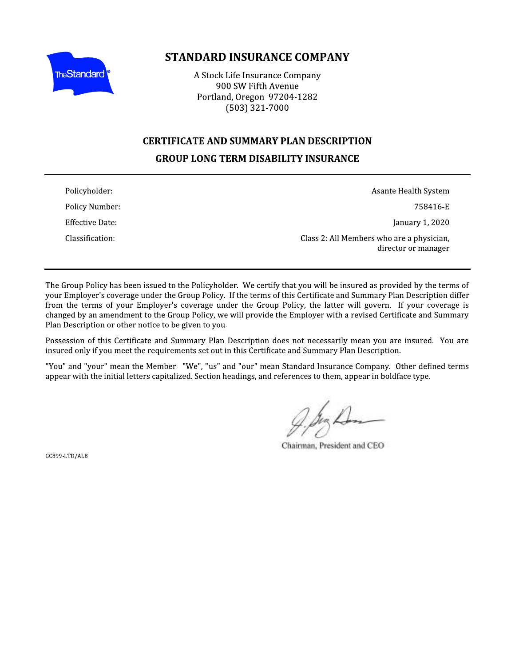

# **STANDARD INSURANCE COMPANY**

A Stock Life Insurance Company 900 SW Fifth Avenue Portland, Oregon 97204-1282  $(503)$  321-7000

### **CERTIFICATE AND SUMMARY PLAN DESCRIPTION**

# **GROUP LONG TERM DISABILITY INSURANCE**

| Policyholder:   | Asante Health System                                             |
|-----------------|------------------------------------------------------------------|
| Policy Number:  | 758416-E                                                         |
| Effective Date: | January 1, 2020                                                  |
| Classification: | Class 2: All Members who are a physician,<br>director or manager |

The Group Policy has been issued to the Policyholder. We certify that you will be insured as provided by the terms of your Employer's coverage under the Group Policy. If the terms of this Certificate and Summary Plan Description differ from the terms of your Employer's coverage under the Group Policy, the latter will govern. If your coverage is changed by an amendment to the Group Policy, we will provide the Employer with a revised Certificate and Summary Plan Description or other notice to be given to you.

Possession of this Certificate and Summary Plan Description does not necessarily mean you are insured. You are insured only if you meet the requirements set out in this Certificate and Summary Plan Description.

"You" and "your" mean the Member. "We", "us" and "our" mean Standard Insurance Company. Other defined terms appear with the initial letters capitalized. Section headings, and references to them, appear in boldface type.

Chairman, President and CEO

GC899-LTD/ALB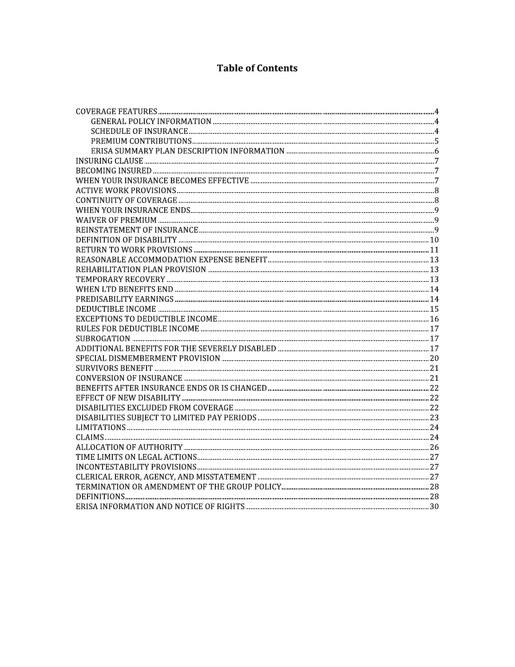# **Table of Contents**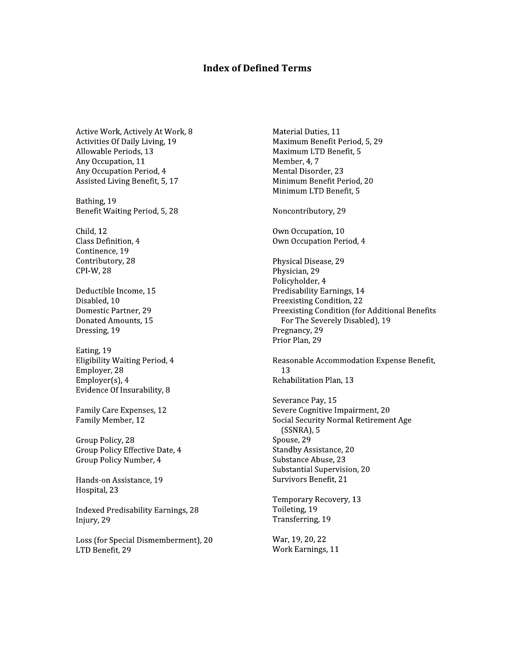#### **Index of Defined Terms**

Active Work, Actively At Work, 8 Activities Of Daily Living, 19 Allowable Periods, 13 Any Occupation, 11 Any Occupation Period, 4 Assisted Living Benefit, 5, 17

Bathing, 19 Benefit Waiting Period, 5, 28

Child, 12 Class Definition, 4 Continence, 19 Contributory, 28 CPI-W, 28

Deductible Income, 15 Disabled, 10 Domestic Partner, 29 Donated Amounts, 15 Dressing, 19

Eating, 19 Eligibility Waiting Period, 4 Employer, 28 Employer $(s)$ , 4 Evidence Of Insurability, 8

Family Care Expenses, 12 Family Member, 12

Group Policy, 28 Group Policy Effective Date, 4 Group Policy Number, 4

Hands-on Assistance, 19 Hospital, 23

**Indexed Predisability Earnings, 28** Injury, 29

Loss (for Special Dismemberment), 20 LTD Benefit, 29

Material Duties, 11 Maximum Benefit Period, 5, 29 Maximum LTD Benefit, 5 Member, 4, 7 Mental Disorder, 23 Minimum Benefit Period, 20 Minimum LTD Benefit, 5

Noncontributory, 29

Own Occupation, 10 Own Occupation Period, 4

Physical Disease, 29 Physician, 29 Policyholder, 4 Predisability Earnings, 14 Preexisting Condition, 22 Preexisting Condition (for Additional Benefits For The Severely Disabled), 19 Pregnancy, 29 Prior Plan, 29

Reasonable Accommodation Expense Benefit, 13 Rehabilitation Plan, 13

Severance Pav. 15 Severe Cognitive Impairment, 20 Social Security Normal Retirement Age  $(SSNRA)$ , 5 Spouse, 29 Standby Assistance, 20 Substance Abuse, 23 Substantial Supervision, 20 Survivors Benefit, 21

Temporary Recovery, 13 Toileting, 19 Transferring, 19

War, 19, 20, 22 Work Earnings, 11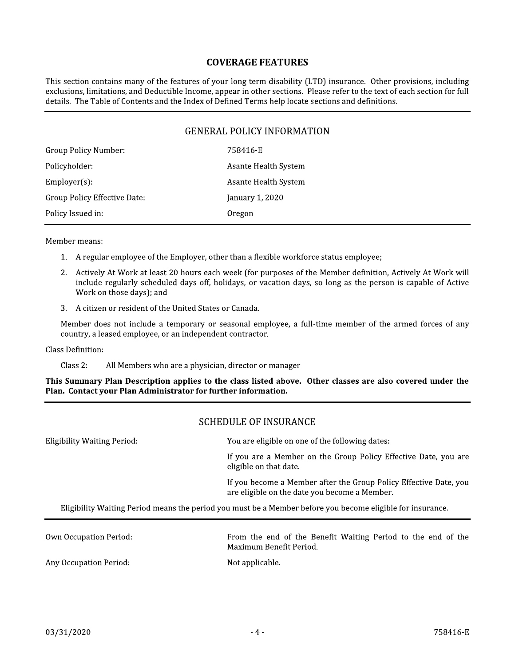#### **COVERAGE FEATURES**

This section contains many of the features of your long term disability (LTD) insurance. Other provisions, including exclusions, limitations, and Deductible Income, appear in other sections. Please refer to the text of each section for full details. The Table of Contents and the Index of Defined Terms help locate sections and definitions.

# **GENERAL POLICY INFORMATION**

| Group Policy Number:         | 758416-E             |
|------------------------------|----------------------|
| Policyholder:                | Asante Health System |
| $Employer(s)$ :              | Asante Health System |
| Group Policy Effective Date: | January 1, 2020      |
| Policy Issued in:            | Oregon               |
|                              |                      |

Member means:

- 1. A regular employee of the Employer, other than a flexible workforce status employee;
- 2. Actively At Work at least 20 hours each week (for purposes of the Member definition, Actively At Work will include regularly scheduled days off, holidays, or vacation days, so long as the person is capable of Active Work on those days); and
- 3. A citizen or resident of the United States or Canada.

Member does not include a temporary or seasonal employee, a full-time member of the armed forces of any country, a leased employee, or an independent contractor.

Class Definition:

All Members who are a physician, director or manager  $Class 2:$ 

This Summary Plan Description applies to the class listed above. Other classes are also covered under the Plan. Contact your Plan Administrator for further information.

#### **SCHEDULE OF INSURANCE**

| <b>Eligibility Waiting Period:</b>                                                                         | You are eligible on one of the following dates:                                                                    |  |
|------------------------------------------------------------------------------------------------------------|--------------------------------------------------------------------------------------------------------------------|--|
|                                                                                                            | If you are a Member on the Group Policy Effective Date, you are<br>eligible on that date.                          |  |
|                                                                                                            | If you become a Member after the Group Policy Effective Date, you<br>are eligible on the date you become a Member. |  |
| Eligibility Waiting Period means the period you must be a Member before you become eligible for insurance. |                                                                                                                    |  |
| Own Occupation Period:                                                                                     | From the end of the Benefit Waiting Period to the end of the<br>Maximum Benefit Period.                            |  |
| Any Occupation Period:                                                                                     | Not applicable.                                                                                                    |  |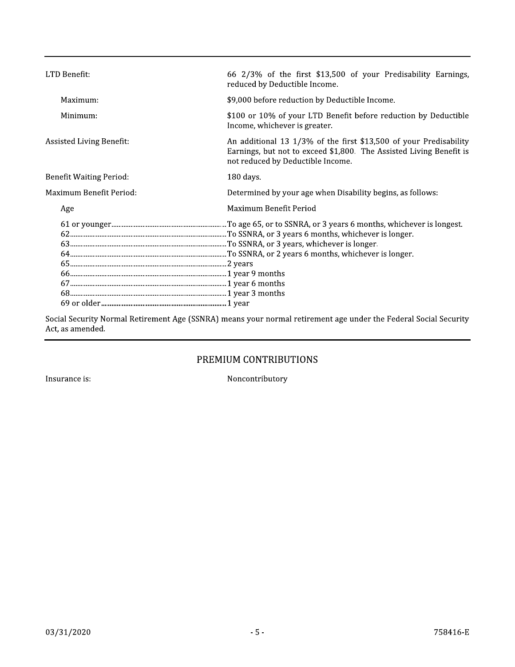| \$9,000 before reduction by Deductible Income.<br>\$100 or 10% of your LTD Benefit before reduction by Deductible<br>Income, whichever is greater.<br>An additional 13 1/3% of the first \$13,500 of your Predisability<br>Earnings, but not to exceed \$1,800. The Assisted Living Benefit is |
|------------------------------------------------------------------------------------------------------------------------------------------------------------------------------------------------------------------------------------------------------------------------------------------------|
|                                                                                                                                                                                                                                                                                                |
|                                                                                                                                                                                                                                                                                                |
| not reduced by Deductible Income.                                                                                                                                                                                                                                                              |
| 180 days.                                                                                                                                                                                                                                                                                      |
| Determined by your age when Disability begins, as follows:                                                                                                                                                                                                                                     |
| Maximum Benefit Period                                                                                                                                                                                                                                                                         |
|                                                                                                                                                                                                                                                                                                |
|                                                                                                                                                                                                                                                                                                |

Social Security Normal Retirement Age (SSNRA) means your normal retirement age under the Federal Social Security Act, as amended.

# PREMIUM CONTRIBUTIONS

Insurance is:

Noncontributory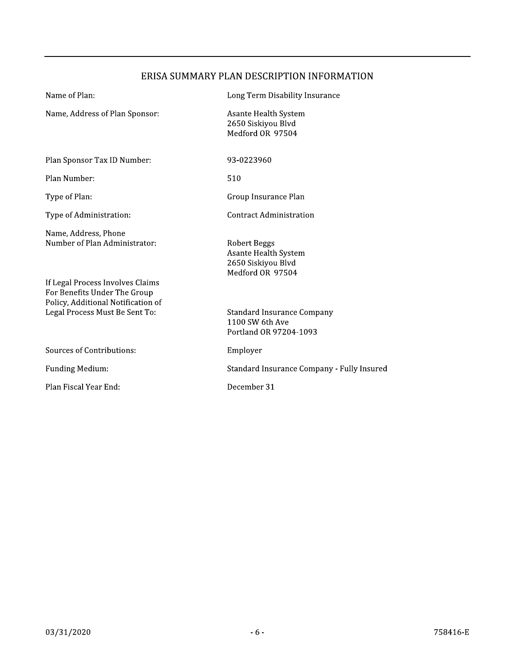# ERISA SUMMARY PLAN DESCRIPTION INFORMATION

| Name of Plan:                                                                             | Long Term Disability Insurance                                                        |
|-------------------------------------------------------------------------------------------|---------------------------------------------------------------------------------------|
| Name, Address of Plan Sponsor:                                                            | Asante Health System<br>2650 Siskiyou Blvd<br>Medford OR 97504                        |
| Plan Sponsor Tax ID Number:                                                               | 93-0223960                                                                            |
| Plan Number:                                                                              | 510                                                                                   |
| Type of Plan:                                                                             | Group Insurance Plan                                                                  |
| Type of Administration:                                                                   | <b>Contract Administration</b>                                                        |
| Name, Address, Phone<br>Number of Plan Administrator:<br>If Legal Process Involves Claims | <b>Robert Beggs</b><br>Asante Health System<br>2650 Siskiyou Blvd<br>Medford OR 97504 |
| For Benefits Under The Group<br>Policy, Additional Notification of                        |                                                                                       |
| Legal Process Must Be Sent To:                                                            | <b>Standard Insurance Company</b><br>1100 SW 6th Ave<br>Portland OR 97204-1093        |
| <b>Sources of Contributions:</b>                                                          | Employer                                                                              |
| <b>Funding Medium:</b>                                                                    | Standard Insurance Company - Fully Insured                                            |
| Plan Fiscal Year End:                                                                     | December 31                                                                           |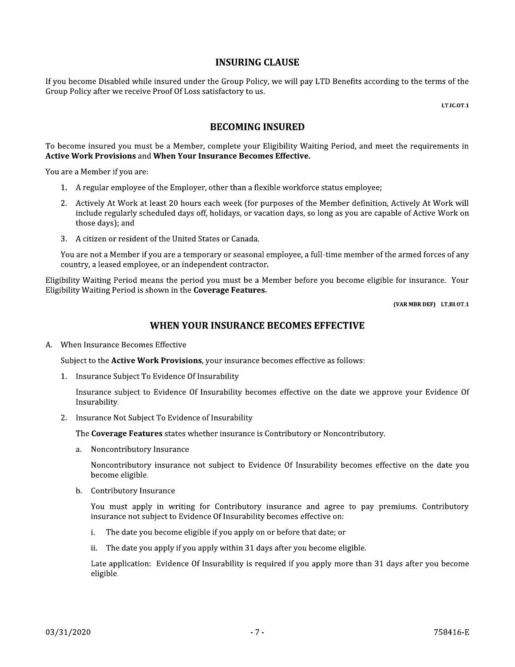#### **INSURING CLAUSE**

If you become Disabled while insured under the Group Policy, we will pay LTD Benefits according to the terms of the Group Policy after we receive Proof Of Loss satisfactory to us.

LT.IC.OT.1

#### **BECOMING INSURED**

To become insured you must be a Member, complete your Eligibility Waiting Period, and meet the requirements in **Active Work Provisions and When Your Insurance Becomes Effective.** 

You are a Member if you are:

- 1. A regular employee of the Employer, other than a flexible workforce status employee;
- 2. Actively At Work at least 20 hours each week (for purposes of the Member definition, Actively At Work will include regularly scheduled days off, holidays, or vacation days, so long as you are capable of Active Work on those days); and
- 3. A citizen or resident of the United States or Canada.

You are not a Member if you are a temporary or seasonal employee, a full-time member of the armed forces of any country, a leased employee, or an independent contractor.

Eligibility Waiting Period means the period you must be a Member before you become eligible for insurance. Your Eligibility Waiting Period is shown in the Coverage Features.

(VAR MBR DEF) LT.BI.OT.1

#### WHEN YOUR INSURANCE BECOMES EFFECTIVE

A. When Insurance Becomes Effective

Subject to the Active Work Provisions, your insurance becomes effective as follows:

1. Insurance Subject To Evidence Of Insurability

Insurance subject to Evidence Of Insurability becomes effective on the date we approve your Evidence Of Insurability.

2. Insurance Not Subject To Evidence of Insurability

The Coverage Features states whether insurance is Contributory or Noncontributory.

a. Noncontributory Insurance

Noncontributory insurance not subject to Evidence Of Insurability becomes effective on the date you become eligible.

b. Contributory Insurance

You must apply in writing for Contributory insurance and agree to pay premiums. Contributory insurance not subject to Evidence Of Insurability becomes effective on:

- The date you become eligible if you apply on or before that date; or i.
- ii. The date you apply if you apply within 31 days after you become eligible.

Late application: Evidence Of Insurability is required if you apply more than 31 days after you become eligible.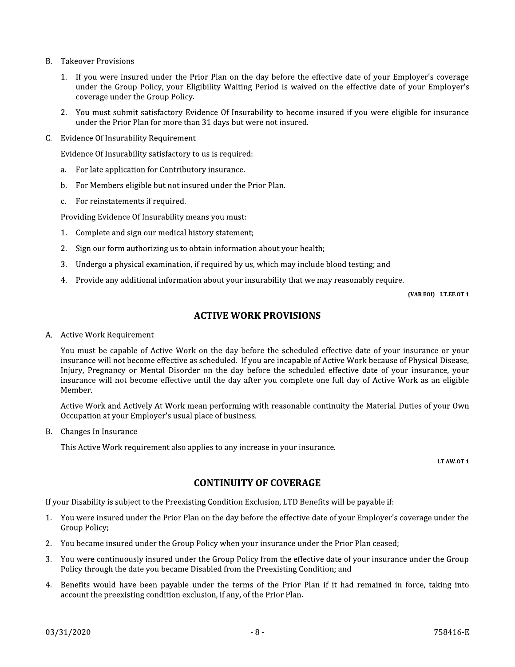- **B.** Takeover Provisions
	- 1. If you were insured under the Prior Plan on the day before the effective date of your Employer's coverage under the Group Policy, your Eligibility Waiting Period is waived on the effective date of your Employer's coverage under the Group Policy.
	- 2. You must submit satisfactory Evidence Of Insurability to become insured if you were eligible for insurance under the Prior Plan for more than 31 days but were not insured.
- C. Evidence Of Insurability Requirement

Evidence Of Insurability satisfactory to us is required:

- For late application for Contributory insurance. a.
- For Members eligible but not insured under the Prior Plan.  $\mathbf{b}$ .
- For reinstatements if required.  $c_{\cdot}$

Providing Evidence Of Insurability means you must:

- 1. Complete and sign our medical history statement;
- 2. Sign our form authorizing us to obtain information about your health;
- Undergo a physical examination, if required by us, which may include blood testing; and  $3.$
- 4. Provide any additional information about your insurability that we may reasonably require.

(VAR EOI) LT.EF.OT.1

# **ACTIVE WORK PROVISIONS**

#### A. Active Work Requirement

You must be capable of Active Work on the day before the scheduled effective date of your insurance or your insurance will not become effective as scheduled. If you are incapable of Active Work because of Physical Disease, Injury, Pregnancy or Mental Disorder on the day before the scheduled effective date of your insurance, your insurance will not become effective until the day after you complete one full day of Active Work as an eligible Member.

Active Work and Actively At Work mean performing with reasonable continuity the Material Duties of your Own Occupation at your Employer's usual place of business.

B. Changes In Insurance

This Active Work requirement also applies to any increase in your insurance.

LT.AW.OT.1

#### **CONTINUITY OF COVERAGE**

If your Disability is subject to the Preexisting Condition Exclusion, LTD Benefits will be payable if:

- 1. You were insured under the Prior Plan on the day before the effective date of your Employer's coverage under the Group Policy;
- 2. You became insured under the Group Policy when your insurance under the Prior Plan ceased;
- 3. You were continuously insured under the Group Policy from the effective date of your insurance under the Group Policy through the date you became Disabled from the Preexisting Condition; and
- 4. Benefits would have been payable under the terms of the Prior Plan if it had remained in force, taking into account the preexisting condition exclusion, if any, of the Prior Plan.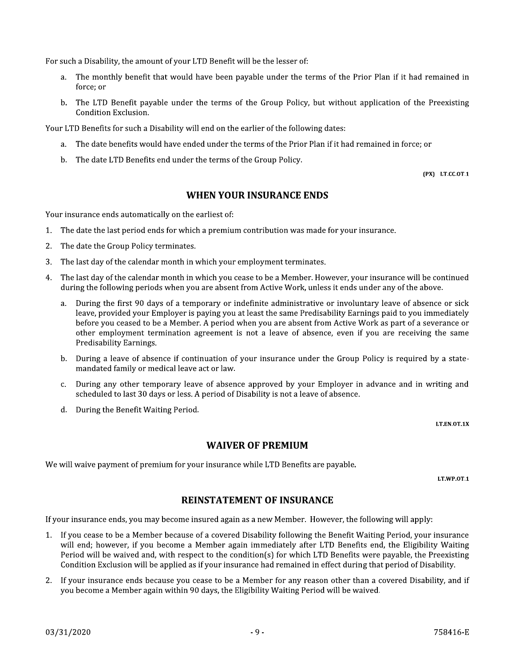For such a Disability, the amount of your LTD Benefit will be the lesser of:

- The monthly benefit that would have been payable under the terms of the Prior Plan if it had remained in  $a$ force; or
- b. The LTD Benefit payable under the terms of the Group Policy, but without application of the Preexisting Condition Exclusion.

Your LTD Benefits for such a Disability will end on the earlier of the following dates:

- a. The date benefits would have ended under the terms of the Prior Plan if it had remained in force; or
- b. The date LTD Benefits end under the terms of the Group Policy.

(PX) LT.CC.OT.1

# **WHEN YOUR INSURANCE ENDS**

Your insurance ends automatically on the earliest of:

- 1. The date the last period ends for which a premium contribution was made for your insurance.
- $2.$ The date the Group Policy terminates.
- $3.$ The last day of the calendar month in which your employment terminates.
- 4. The last day of the calendar month in which you cease to be a Member. However, your insurance will be continued during the following periods when you are absent from Active Work, unless it ends under any of the above.
	- During the first 90 days of a temporary or indefinite administrative or involuntary leave of absence or sick  $a<sub>z</sub>$ leave, provided your Employer is paying you at least the same Predisability Earnings paid to you immediately before you ceased to be a Member. A period when you are absent from Active Work as part of a severance or other employment termination agreement is not a leave of absence, even if you are receiving the same Predisability Earnings.
	- b. During a leave of absence if continuation of your insurance under the Group Policy is required by a statemandated family or medical leave act or law.
	- During any other temporary leave of absence approved by your Employer in advance and in writing and  $C.$ scheduled to last 30 days or less. A period of Disability is not a leave of absence.
	- d. During the Benefit Waiting Period.

LT.EN.OT.1X

### **WAIVER OF PREMIUM**

We will waive payment of premium for your insurance while LTD Benefits are payable.

LT.WP.0T.1

### **REINSTATEMENT OF INSURANCE**

If your insurance ends, you may become insured again as a new Member. However, the following will apply:

- 1. If you cease to be a Member because of a covered Disability following the Benefit Waiting Period, your insurance will end: however, if you become a Member again immediately after LTD Benefits end, the Eligibility Waiting Period will be waived and, with respect to the condition(s) for which LTD Benefits were payable, the Preexisting Condition Exclusion will be applied as if your insurance had remained in effect during that period of Disability.
- 2. If your insurance ends because you cease to be a Member for any reason other than a covered Disability, and if you become a Member again within 90 days, the Eligibility Waiting Period will be waived.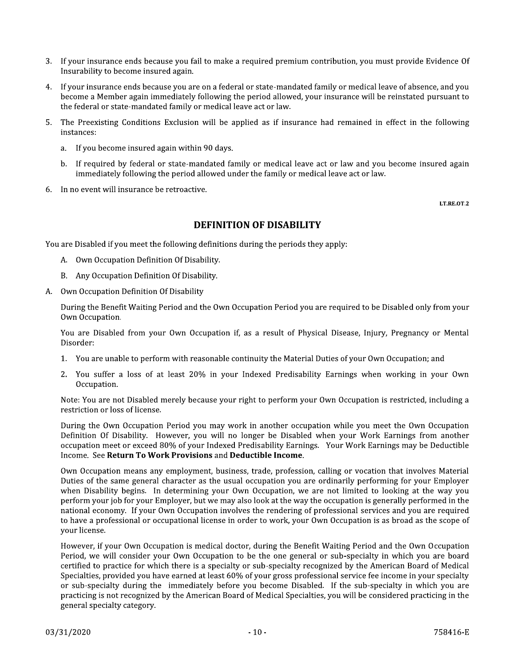- 3. If your insurance ends because you fail to make a required premium contribution, you must provide Evidence Of Insurability to become insured again.
- 4. If your insurance ends because you are on a federal or state-mandated family or medical leave of absence, and you become a Member again immediately following the period allowed, your insurance will be reinstated pursuant to the federal or state-mandated family or medical leave act or law.
- The Preexisting Conditions Exclusion will be applied as if insurance had remained in effect in the following  $5.$ instances:
	- If you become insured again within 90 days. a.
	- b. If required by federal or state-mandated family or medical leave act or law and you become insured again immediately following the period allowed under the family or medical leave act or law.
- 6 In no event will insurance be retroactive.

LT.RE.OT.2

### **DEFINITION OF DISABILITY**

You are Disabled if you meet the following definitions during the periods they apply:

- A. Own Occupation Definition Of Disability.
- B. Any Occupation Definition Of Disability.
- Own Occupation Definition Of Disability A.

During the Benefit Waiting Period and the Own Occupation Period you are required to be Disabled only from your Own Occupation.

You are Disabled from your Own Occupation if, as a result of Physical Disease, Injury, Pregnancy or Mental Disorder:

- 1. You are unable to perform with reasonable continuity the Material Duties of your Own Occupation; and
- $2.$ You suffer a loss of at least 20% in your Indexed Predisability Earnings when working in your Own Occupation.

Note: You are not Disabled merely because your right to perform your Own Occupation is restricted, including a restriction or loss of license.

During the Own Occupation Period you may work in another occupation while you meet the Own Occupation Definition Of Disability. However, you will no longer be Disabled when your Work Earnings from another occupation meet or exceed 80% of your Indexed Predisability Earnings. Your Work Earnings may be Deductible Income. See Return To Work Provisions and Deductible Income.

Own Occupation means any employment, business, trade, profession, calling or vocation that involves Material Duties of the same general character as the usual occupation you are ordinarily performing for your Employer when Disability begins. In determining your Own Occupation, we are not limited to looking at the way you perform your job for your Employer, but we may also look at the way the occupation is generally performed in the national economy. If your Own Occupation involves the rendering of professional services and you are required to have a professional or occupational license in order to work, your Own Occupation is as broad as the scope of your license.

However, if your Own Occupation is medical doctor, during the Benefit Waiting Period and the Own Occupation Period, we will consider your Own Occupation to be the one general or sub-specialty in which you are board certified to practice for which there is a specialty or sub-specialty recognized by the American Board of Medical Specialties, provided you have earned at least 60% of your gross professional service fee income in your specialty or sub-specialty during the immediately before you become Disabled. If the sub-specialty in which you are practicing is not recognized by the American Board of Medical Specialties, you will be considered practicing in the general specialty category.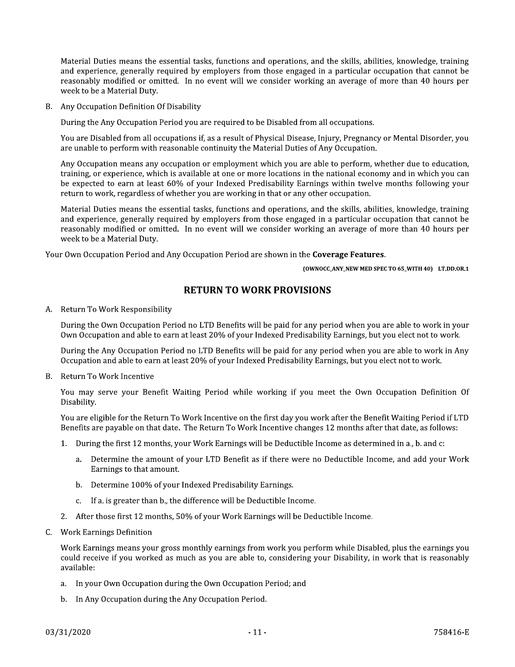Material Duties means the essential tasks, functions and operations, and the skills, abilities, knowledge, training and experience, generally required by employers from those engaged in a particular occupation that cannot be reasonably modified or omitted. In no event will we consider working an average of more than 40 hours per week to be a Material Duty.

B. Any Occupation Definition Of Disability

During the Any Occupation Period you are required to be Disabled from all occupations.

You are Disabled from all occupations if, as a result of Physical Disease, Injury, Pregnancy or Mental Disorder, you are unable to perform with reasonable continuity the Material Duties of Any Occupation.

Any Occupation means any occupation or employment which you are able to perform, whether due to education, training, or experience, which is available at one or more locations in the national economy and in which you can be expected to earn at least 60% of your Indexed Predisability Earnings within twelve months following your return to work, regardless of whether you are working in that or any other occupation.

Material Duties means the essential tasks, functions and operations, and the skills, abilities, knowledge, training and experience, generally required by employers from those engaged in a particular occupation that cannot be reasonably modified or omitted. In no event will we consider working an average of more than 40 hours per week to be a Material Duty.

Your Own Occupation Period and Any Occupation Period are shown in the Coverage Features.

(OWNOCC\_ANY\_NEW MED SPEC TO 65\_WITH 40) LT.DD.OR.1

#### **RETURN TO WORK PROVISIONS**

A. Return To Work Responsibility

During the Own Occupation Period no LTD Benefits will be paid for any period when you are able to work in your Own Occupation and able to earn at least 20% of your Indexed Predisability Earnings, but you elect not to work.

During the Any Occupation Period no LTD Benefits will be paid for any period when you are able to work in Any Occupation and able to earn at least 20% of your Indexed Predisability Earnings, but you elect not to work.

B. Return To Work Incentive

You may serve your Benefit Waiting Period while working if you meet the Own Occupation Definition Of Disability.

You are eligible for the Return To Work Incentive on the first day you work after the Benefit Waiting Period if LTD Benefits are payable on that date. The Return To Work Incentive changes 12 months after that date, as follows:

- 1. During the first 12 months, your Work Earnings will be Deductible Income as determined in a., b. and c:
	- a. Determine the amount of your LTD Benefit as if there were no Deductible Income, and add your Work Earnings to that amount.
	- b. Determine 100% of your Indexed Predisability Earnings.
	- c. If a. is greater than b., the difference will be Deductible Income.
- 2. After those first 12 months, 50% of your Work Earnings will be Deductible Income.
- C. Work Earnings Definition

Work Earnings means your gross monthly earnings from work you perform while Disabled, plus the earnings you could receive if you worked as much as you are able to, considering your Disability, in work that is reasonably available:

- a. In your Own Occupation during the Own Occupation Period; and
- b. In Any Occupation during the Any Occupation Period.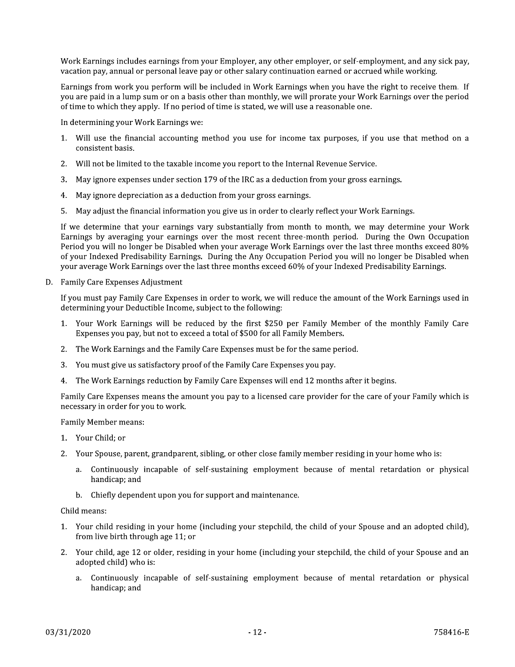Work Earnings includes earnings from your Employer, any other employer, or self-employment, and any sick pay, vacation pay, annual or personal leave pay or other salary continuation earned or accrued while working.

Earnings from work you perform will be included in Work Earnings when you have the right to receive them. If you are paid in a lump sum or on a basis other than monthly, we will prorate your Work Earnings over the period of time to which they apply. If no period of time is stated, we will use a reasonable one.

In determining your Work Earnings we:

- 1. Will use the financial accounting method you use for income tax purposes, if you use that method on a consistent basis.
- 2. Will not be limited to the taxable income you report to the Internal Revenue Service.
- 3. May ignore expenses under section 179 of the IRC as a deduction from your gross earnings.
- 4. May ignore depreciation as a deduction from your gross earnings.
- 5. May adjust the financial information you give us in order to clearly reflect your Work Earnings.

If we determine that your earnings vary substantially from month to month, we may determine your Work Earnings by averaging your earnings over the most recent three-month period. During the Own Occupation Period you will no longer be Disabled when your average Work Earnings over the last three months exceed 80% of your Indexed Predisability Earnings. During the Any Occupation Period you will no longer be Disabled when your average Work Earnings over the last three months exceed 60% of your Indexed Predisability Earnings.

D. Family Care Expenses Adjustment

If you must pay Family Care Expenses in order to work, we will reduce the amount of the Work Earnings used in determining your Deductible Income, subject to the following:

- 1. Your Work Earnings will be reduced by the first \$250 per Family Member of the monthly Family Care Expenses you pay, but not to exceed a total of \$500 for all Family Members.
- 2. The Work Earnings and the Family Care Expenses must be for the same period.
- 3. You must give us satisfactory proof of the Family Care Expenses you pay.
- 4. The Work Earnings reduction by Family Care Expenses will end 12 months after it begins.

Family Care Expenses means the amount you pay to a licensed care provider for the care of your Family which is necessary in order for you to work.

**Family Member means:** 

- 1. Your Child; or
- 2. Your Spouse, parent, grandparent, sibling, or other close family member residing in your home who is:
	- a. Continuously incapable of self-sustaining employment because of mental retardation or physical handicap; and
	- b. Chiefly dependent upon you for support and maintenance.

Child means:

- 1. Your child residing in your home (including your stepchild, the child of your Spouse and an adopted child), from live birth through age 11; or
- 2. Your child, age 12 or older, residing in your home (including your stepchild, the child of your Spouse and an adopted child) who is:
	- a. Continuously incapable of self-sustaining employment because of mental retardation or physical handicap; and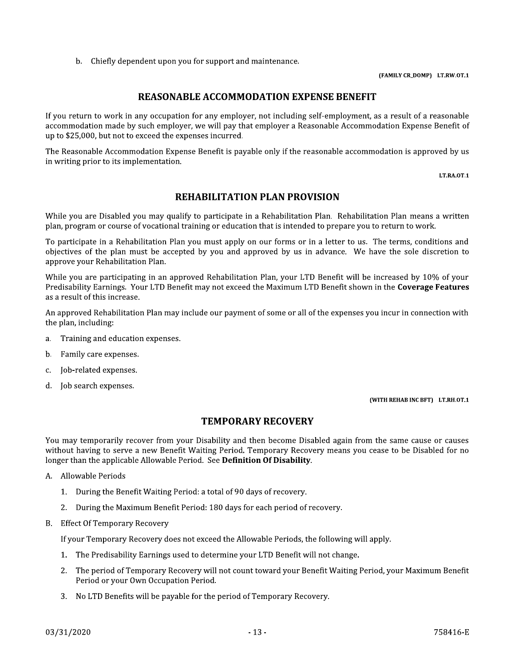b. Chiefly dependent upon you for support and maintenance.

#### (FAMILY CR\_DOMP) LT.RW.OT.1

#### **REASONABLE ACCOMMODATION EXPENSE BENEFIT**

If you return to work in any occupation for any employer, not including self-employment, as a result of a reasonable accommodation made by such employer, we will pay that employer a Reasonable Accommodation Expense Benefit of up to \$25,000, but not to exceed the expenses incurred.

The Reasonable Accommodation Expense Benefit is payable only if the reasonable accommodation is approved by us in writing prior to its implementation.

LT.RA.OT.1

# **REHABILITATION PLAN PROVISION**

While you are Disabled you may qualify to participate in a Rehabilitation Plan. Rehabilitation Plan means a written plan, program or course of vocational training or education that is intended to prepare you to return to work.

To participate in a Rehabilitation Plan you must apply on our forms or in a letter to us. The terms, conditions and objectives of the plan must be accepted by you and approved by us in advance. We have the sole discretion to approve your Rehabilitation Plan.

While you are participating in an approved Rehabilitation Plan, your LTD Benefit will be increased by 10% of your Predisability Earnings. Your LTD Benefit may not exceed the Maximum LTD Benefit shown in the Coverage Features as a result of this increase.

An approved Rehabilitation Plan may include our payment of some or all of the expenses you incur in connection with the plan, including:

- Training and education expenses.  $a<sub>z</sub>$
- b. Family care expenses.
- Job-related expenses.  $\mathcal{C}$ .
- d. Job search expenses.

(WITH REHAB INC BFT) LT.RH.OT.1

#### **TEMPORARY RECOVERY**

You may temporarily recover from your Disability and then become Disabled again from the same cause or causes without having to serve a new Benefit Waiting Period. Temporary Recovery means you cease to be Disabled for no longer than the applicable Allowable Period. See Definition Of Disability.

- A. Allowable Periods
	- 1. During the Benefit Waiting Period: a total of 90 days of recovery.
	- 2. During the Maximum Benefit Period: 180 days for each period of recovery.
- **B.** Effect Of Temporary Recovery

If your Temporary Recovery does not exceed the Allowable Periods, the following will apply.

- 1. The Predisability Earnings used to determine your LTD Benefit will not change.
- 2. The period of Temporary Recovery will not count toward your Benefit Waiting Period, your Maximum Benefit Period or your Own Occupation Period.
- 3. No LTD Benefits will be payable for the period of Temporary Recovery.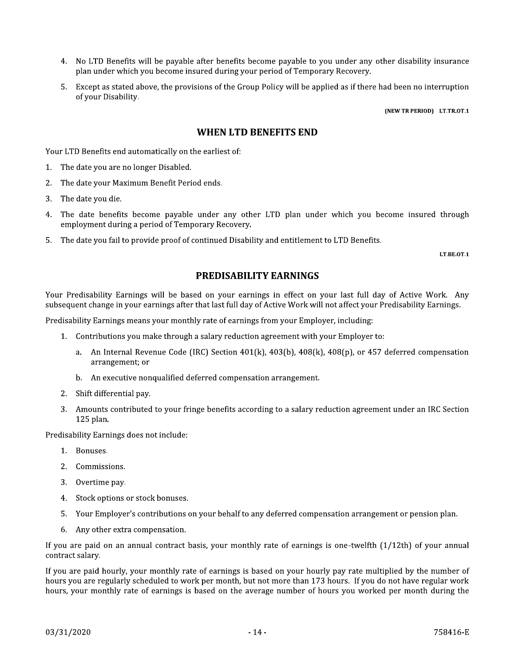- 4. No LTD Benefits will be payable after benefits become payable to you under any other disability insurance plan under which you become insured during your period of Temporary Recovery.
- 5. Except as stated above, the provisions of the Group Policy will be applied as if there had been no interruption of your Disability.

(NEW TR PERIOD) LT.TR.OT.1

#### **WHEN LTD BENEFITS END**

Your LTD Benefits end automatically on the earliest of:

- 1. The date you are no longer Disabled.
- $2.$ The date your Maximum Benefit Period ends.
- 3. The date you die.
- 4. The date benefits become payable under any other LTD plan under which you become insured through employment during a period of Temporary Recovery.
- 5. The date you fail to provide proof of continued Disability and entitlement to LTD Benefits.

LT.BE.OT.1

#### **PREDISABILITY EARNINGS**

Your Predisability Earnings will be based on your earnings in effect on your last full day of Active Work. Any subsequent change in your earnings after that last full day of Active Work will not affect your Predisability Earnings.

Predisability Earnings means your monthly rate of earnings from your Employer, including:

- 1. Contributions you make through a salary reduction agreement with your Employer to:
	- a. An Internal Revenue Code (IRC) Section  $401(k)$ ,  $403(b)$ ,  $408(k)$ ,  $408(p)$ , or  $457$  deferred compensation arrangement; or
	- b. An executive nonqualified deferred compensation arrangement.
- 2. Shift differential pay.
- 3. Amounts contributed to your fringe benefits according to a salary reduction agreement under an IRC Section 125 plan.

Predisability Earnings does not include:

- 1. Bonuses.
- 2. Commissions.
- 3. Overtime pay.
- 4. Stock options or stock bonuses.
- 5. Your Employer's contributions on your behalf to any deferred compensation arrangement or pension plan.
- 6. Any other extra compensation.

If you are paid on an annual contract basis, your monthly rate of earnings is one-twelfth  $(1/12th)$  of your annual contract salary.

If you are paid hourly, your monthly rate of earnings is based on your hourly pay rate multiplied by the number of hours you are regularly scheduled to work per month, but not more than 173 hours. If you do not have regular work hours, your monthly rate of earnings is based on the average number of hours you worked per month during the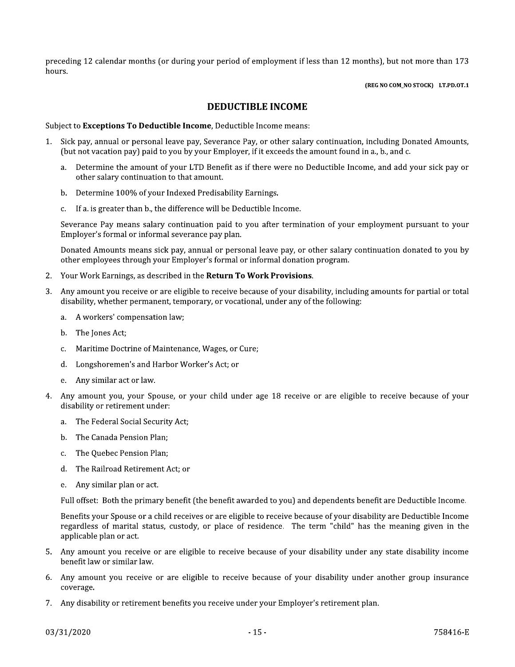preceding 12 calendar months (or during your period of employment if less than 12 months), but not more than 173 hours.

(REG NO COM\_NO STOCK) LT.PD.OT.1

#### **DEDUCTIBLE INCOME**

Subject to Exceptions To Deductible Income, Deductible Income means:

- Sick pay, annual or personal leave pay, Severance Pay, or other salary continuation, including Donated Amounts, 1. (but not vacation pay) paid to you by your Employer, if it exceeds the amount found in a., b., and c.
	- a. Determine the amount of your LTD Benefit as if there were no Deductible Income, and add your sick pay or other salary continuation to that amount.
	- b. Determine 100% of your Indexed Predisability Earnings.
	- c. If a. is greater than b., the difference will be Deductible Income.

Severance Pay means salary continuation paid to you after termination of your employment pursuant to your Employer's formal or informal severance pay plan.

Donated Amounts means sick pay, annual or personal leave pay, or other salary continuation donated to you by other employees through your Employer's formal or informal donation program.

- 2. Your Work Earnings, as described in the Return To Work Provisions.
- Any amount you receive or are eligible to receive because of your disability, including amounts for partial or total  $\mathbf{R}$ disability, whether permanent, temporary, or vocational, under any of the following:
	- a. A workers' compensation law;
	- b. The Jones Act;
	- Maritime Doctrine of Maintenance, Wages, or Cure;  $C_{\cdot}$
	- d. Longshoremen's and Harbor Worker's Act; or
	- Any similar act or law.  $e_{\cdot}$
- Anv amount you, your Spouse, or your child under age 18 receive or are eligible to receive because of your disability or retirement under:
	- a. The Federal Social Security Act;
	- The Canada Pension Plan; b.
	- The Ouebec Pension Plan: c.
	- d. The Railroad Retirement Act; or
	- e. Any similar plan or act.

Full offset: Both the primary benefit (the benefit awarded to you) and dependents benefit are Deductible Income.

Benefits your Spouse or a child receives or are eligible to receive because of your disability are Deductible Income regardless of marital status, custody, or place of residence. The term "child" has the meaning given in the applicable plan or act.

- 5. Any amount you receive or are eligible to receive because of your disability under any state disability income benefit law or similar law.
- 6. Any amount you receive or are eligible to receive because of your disability under another group insurance coverage.
- 7. Any disability or retirement benefits you receive under your Employer's retirement plan.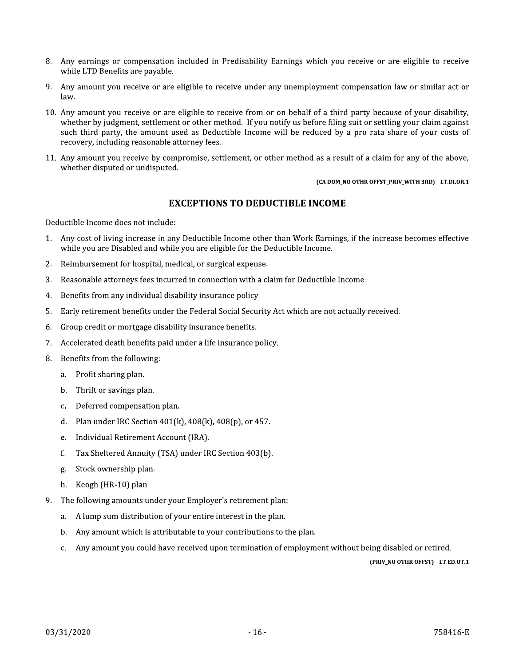- 8. Any earnings or compensation included in Predisability Earnings which you receive or are eligible to receive while LTD Benefits are pavable.
- 9. Any amount you receive or are eligible to receive under any unemployment compensation law or similar act or law.
- 10. Any amount you receive or are eligible to receive from or on behalf of a third party because of your disability, whether by judgment, settlement or other method. If you notify us before filing suit or settling your claim against such third party, the amount used as Deductible Income will be reduced by a pro rata share of your costs of recovery, including reasonable attorney fees.
- 11. Any amount you receive by compromise, settlement, or other method as a result of a claim for any of the above, whether disputed or undisputed.

#### (CA DOM\_NO OTHR OFFST\_PRIV\_WITH 3RD) LT.DI.OR.1

### **EXCEPTIONS TO DEDUCTIBLE INCOME**

Deductible Income does not include:

- Any cost of living increase in any Deductible Income other than Work Earnings, if the increase becomes effective  $1.$ while you are Disabled and while you are eligible for the Deductible Income.
- Reimbursement for hospital, medical, or surgical expense.  $2.$
- Reasonable attorneys fees incurred in connection with a claim for Deductible Income. 3.
- Benefits from any individual disability insurance policy.  $4.$
- Early retirement benefits under the Federal Social Security Act which are not actually received. 5.
- Group credit or mortgage disability insurance benefits. 6.
- Accelerated death benefits paid under a life insurance policy.  $7.$
- Benefits from the following: 8.
	- a. Profit sharing plan.
	- b. Thrift or savings plan.
	- Deferred compensation plan.  $\mathbf{C}$ .
	- Plan under IRC Section 401(k), 408(k), 408(p), or 457. d.
	- Individual Retirement Account (IRA). e.
	- f. Tax Sheltered Annuity (TSA) under IRC Section 403(b).
	- Stock ownership plan. g.
	- $h_{-}$ Keogh (HR-10) plan.
- 9. The following amounts under your Employer's retirement plan:
	- A lump sum distribution of your entire interest in the plan. a.
	- Any amount which is attributable to your contributions to the plan. b.
	- Any amount you could have received upon termination of employment without being disabled or retired. c.

(PRIV\_NO OTHR OFFST) LT.ED.OT.1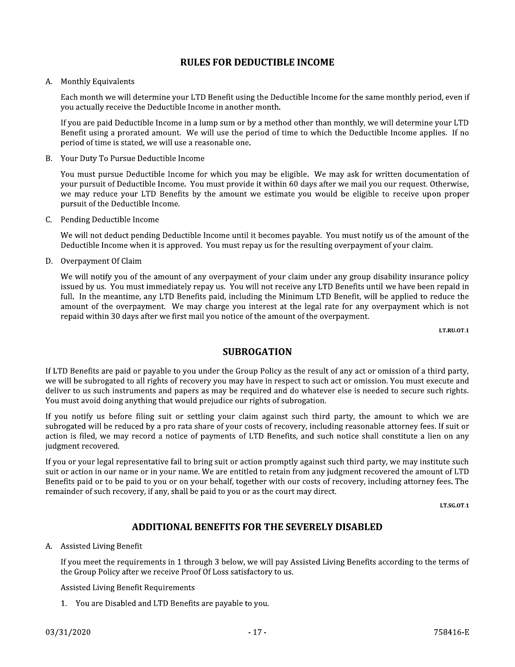#### **RULES FOR DEDUCTIBLE INCOME**

#### A. Monthly Equivalents

Each month we will determine your LTD Benefit using the Deductible Income for the same monthly period, even if you actually receive the Deductible Income in another month.

If you are paid Deductible Income in a lump sum or by a method other than monthly, we will determine your LTD Benefit using a prorated amount. We will use the period of time to which the Deductible Income applies. If no period of time is stated, we will use a reasonable one.

Your Duty To Pursue Deductible Income **B.** 

You must pursue Deductible Income for which you may be eligible. We may ask for written documentation of your pursuit of Deductible Income. You must provide it within 60 days after we mail you our request. Otherwise, we may reduce your LTD Benefits by the amount we estimate you would be eligible to receive upon proper pursuit of the Deductible Income.

C. Pending Deductible Income

We will not deduct pending Deductible Income until it becomes payable. You must notify us of the amount of the Deductible Income when it is approved. You must repay us for the resulting overpayment of your claim.

D. Overpayment Of Claim

We will notify you of the amount of any overpayment of your claim under any group disability insurance policy issued by us. You must immediately repay us. You will not receive any LTD Benefits until we have been repaid in full. In the meantime, any LTD Benefits paid, including the Minimum LTD Benefit, will be applied to reduce the amount of the overpayment. We may charge you interest at the legal rate for any overpayment which is not repaid within 30 days after we first mail you notice of the amount of the overpayment.

LT.RU.OT.1

### **SUBROGATION**

If LTD Benefits are paid or payable to you under the Group Policy as the result of any act or omission of a third party, we will be subrogated to all rights of recovery you may have in respect to such act or omission. You must execute and deliver to us such instruments and papers as may be required and do whatever else is needed to secure such rights. You must avoid doing anything that would prejudice our rights of subrogation.

If you notify us before filing suit or settling your claim against such third party, the amount to which we are subrogated will be reduced by a pro rata share of your costs of recovery, including reasonable attorney fees. If suit or action is filed, we may record a notice of payments of LTD Benefits, and such notice shall constitute a lien on any judgment recovered.

If you or your legal representative fail to bring suit or action promptly against such third party, we may institute such suit or action in our name or in your name. We are entitled to retain from any judgment recovered the amount of LTD Benefits paid or to be paid to you or on your behalf, together with our costs of recovery, including attorney fees. The remainder of such recovery, if any, shall be paid to you or as the court may direct.

LT.SG.OT.1

# **ADDITIONAL BENEFITS FOR THE SEVERELY DISABLED**

#### A. Assisted Living Benefit

If you meet the requirements in 1 through 3 below, we will pay Assisted Living Benefits according to the terms of the Group Policy after we receive Proof Of Loss satisfactory to us.

**Assisted Living Benefit Requirements** 

1. You are Disabled and LTD Benefits are payable to you.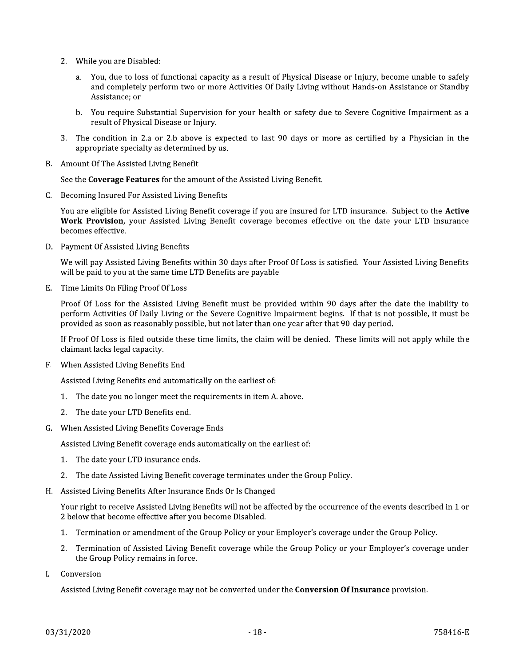- 2. While you are Disabled:
	- a. You, due to loss of functional capacity as a result of Physical Disease or Injury, become unable to safely and completely perform two or more Activities Of Daily Living without Hands-on Assistance or Standby Assistance; or
	- b. You require Substantial Supervision for your health or safety due to Severe Cognitive Impairment as a result of Physical Disease or Injury.
- 3. The condition in 2.a or 2.b above is expected to last 90 days or more as certified by a Physician in the appropriate specialty as determined by us.
- B. Amount Of The Assisted Living Benefit

See the Coverage Features for the amount of the Assisted Living Benefit.

C. Becoming Insured For Assisted Living Benefits

You are eligible for Assisted Living Benefit coverage if you are insured for LTD insurance. Subject to the Active Work Provision, your Assisted Living Benefit coverage becomes effective on the date your LTD insurance becomes effective.

D. Payment Of Assisted Living Benefits

We will pay Assisted Living Benefits within 30 days after Proof Of Loss is satisfied. Your Assisted Living Benefits will be paid to you at the same time LTD Benefits are payable.

E. Time Limits On Filing Proof Of Loss

Proof Of Loss for the Assisted Living Benefit must be provided within 90 days after the date the inability to perform Activities Of Daily Living or the Severe Cognitive Impairment begins. If that is not possible, it must be provided as soon as reasonably possible, but not later than one year after that 90-day period.

If Proof Of Loss is filed outside these time limits, the claim will be denied. These limits will not apply while the claimant lacks legal capacity.

F. When Assisted Living Benefits End

Assisted Living Benefits end automatically on the earliest of:

- 1. The date you no longer meet the requirements in item A. above.
- 2. The date your LTD Benefits end.
- G. When Assisted Living Benefits Coverage Ends

Assisted Living Benefit coverage ends automatically on the earliest of:

- 1. The date your LTD insurance ends.
- 2. The date Assisted Living Benefit coverage terminates under the Group Policy.
- H. Assisted Living Benefits After Insurance Ends Or Is Changed

Your right to receive Assisted Living Benefits will not be affected by the occurrence of the events described in 1 or 2 below that become effective after you become Disabled.

- 1. Termination or amendment of the Group Policy or your Employer's coverage under the Group Policy.
- 2. Termination of Assisted Living Benefit coverage while the Group Policy or your Employer's coverage under the Group Policy remains in force.
- Conversion I.

Assisted Living Benefit coverage may not be converted under the **Conversion Of Insurance** provision.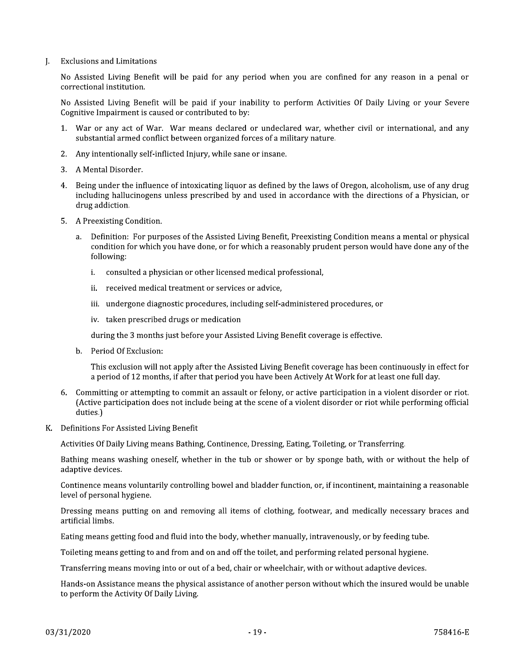**Exclusions and Limitations** L.

> No Assisted Living Benefit will be paid for any period when you are confined for any reason in a penal or correctional institution.

> No Assisted Living Benefit will be paid if your inability to perform Activities Of Daily Living or your Severe Cognitive Impairment is caused or contributed to by:

- 1. War or any act of War. War means declared or undeclared war, whether civil or international, and any substantial armed conflict between organized forces of a military nature.
- 2. Any intentionally self-inflicted Injury, while sane or insane.
- 3. A Mental Disorder.
- 4. Being under the influence of intoxicating liquor as defined by the laws of Oregon, alcoholism, use of any drug including hallucinogens unless prescribed by and used in accordance with the directions of a Physician, or drug addiction.
- 5. A Preexisting Condition.
	- a. Definition: For purposes of the Assisted Living Benefit, Preexisting Condition means a mental or physical condition for which you have done, or for which a reasonably prudent person would have done any of the following:
		- i. consulted a physician or other licensed medical professional,
		- ii. received medical treatment or services or advice,
		- iii. undergone diagnostic procedures, including self-administered procedures, or
		- iv. taken prescribed drugs or medication

during the 3 months just before your Assisted Living Benefit coverage is effective.

b. Period Of Exclusion:

This exclusion will not apply after the Assisted Living Benefit coverage has been continuously in effect for a period of 12 months, if after that period you have been Actively At Work for at least one full day.

- 6. Committing or attempting to commit an assault or felony, or active participation in a violent disorder or riot. (Active participation does not include being at the scene of a violent disorder or riot while performing official duties.)
- K. Definitions For Assisted Living Benefit

Activities Of Daily Living means Bathing, Continence, Dressing, Eating, Toileting, or Transferring.

Bathing means washing oneself, whether in the tub or shower or by sponge bath, with or without the help of adaptive devices.

Continence means voluntarily controlling bowel and bladder function, or, if incontinent, maintaining a reasonable level of personal hygiene.

Dressing means putting on and removing all items of clothing, footwear, and medically necessary braces and artificial limbs.

Eating means getting food and fluid into the body, whether manually, intravenously, or by feeding tube.

Toileting means getting to and from and on and off the toilet, and performing related personal hygiene.

Transferring means moving into or out of a bed, chair or wheelchair, with or without adaptive devices.

Hands-on Assistance means the physical assistance of another person without which the insured would be unable to perform the Activity Of Daily Living.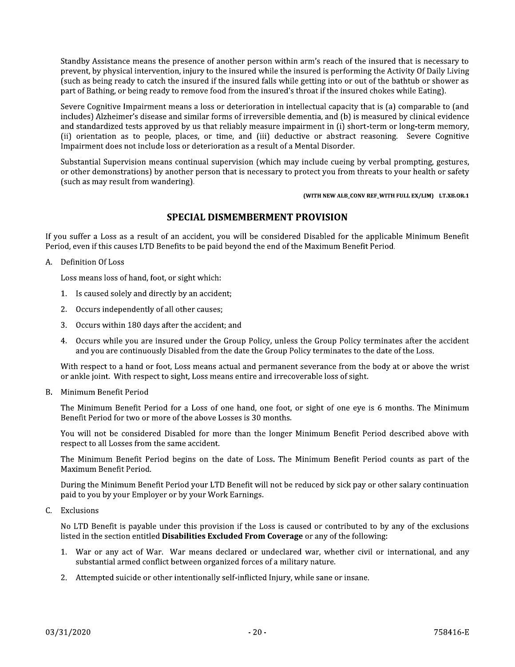Standby Assistance means the presence of another person within arm's reach of the insured that is necessary to prevent, by physical intervention, injury to the insured while the insured is performing the Activity Of Daily Living such as being ready to catch the insured if the insured falls while getting into or out of the bathtub or shower as part of Bathing, or being ready to remove food from the insured's throat if the insured chokes while Eating).

Severe Cognitive Impairment means a loss or deterioration in intellectual capacity that is (a) comparable to (and includes) Alzheimer's disease and similar forms of irreversible dementia, and (b) is measured by clinical evidence and standardized tests approved by us that reliably measure impairment in (i) short-term or long-term memory, (ii) orientation as to people, places, or time, and (iii) deductive or abstract reasoning. Severe Cognitive Impairment does not include loss or deterioration as a result of a Mental Disorder.

Substantial Supervision means continual supervision (which may include cueing by verbal prompting, gestures, or other demonstrations) by another person that is necessary to protect you from threats to your health or safety (such as may result from wandering).

(WITH NEW ALB\_CONV REF\_WITH FULL EX/LIM) LT.XB.OR.1

# **SPECIAL DISMEMBERMENT PROVISION**

If you suffer a Loss as a result of an accident, you will be considered Disabled for the applicable Minimum Benefit Period, even if this causes LTD Benefits to be paid beyond the end of the Maximum Benefit Period.

A. Definition Of Loss

Loss means loss of hand, foot, or sight which:

- 1. Is caused solely and directly by an accident;
- 2. Occurs independently of all other causes;
- 3. Occurs within 180 days after the accident; and
- 4. Occurs while you are insured under the Group Policy, unless the Group Policy terminates after the accident and you are continuously Disabled from the date the Group Policy terminates to the date of the Loss.

With respect to a hand or foot, Loss means actual and permanent severance from the body at or above the wrist or ankle joint. With respect to sight, Loss means entire and irrecoverable loss of sight.

B. Minimum Benefit Period

The Minimum Benefit Period for a Loss of one hand, one foot, or sight of one eye is 6 months. The Minimum Benefit Period for two or more of the above Losses is 30 months.

You will not be considered Disabled for more than the longer Minimum Benefit Period described above with respect to all Losses from the same accident.

The Minimum Benefit Period begins on the date of Loss. The Minimum Benefit Period counts as part of the Maximum Benefit Period.

During the Minimum Benefit Period your LTD Benefit will not be reduced by sick pay or other salary continuation paid to you by your Employer or by your Work Earnings.

C. Exclusions

No LTD Benefit is payable under this provision if the Loss is caused or contributed to by any of the exclusions listed in the section entitled Disabilities Excluded From Coverage or any of the following:

- 1. War or any act of War. War means declared or undeclared war, whether civil or international, and any substantial armed conflict between organized forces of a military nature.
- 2. Attempted suicide or other intentionally self-inflicted Injury, while sane or insane.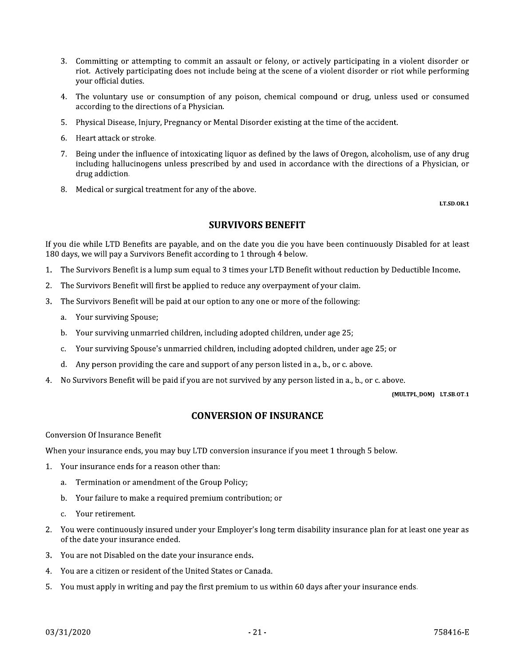- 3. Committing or attempting to commit an assault or felony, or actively participating in a violent disorder or riot. Actively participating does not include being at the scene of a violent disorder or riot while performing vour official duties.
- 4. The voluntary use or consumption of any poison, chemical compound or drug, unless used or consumed according to the directions of a Physician.
- 5. Physical Disease, Injury, Pregnancy or Mental Disorder existing at the time of the accident.
- 6. Heart attack or stroke.
- 7. Being under the influence of intoxicating liquor as defined by the laws of Oregon, alcoholism, use of any drug including hallucinogens unless prescribed by and used in accordance with the directions of a Physician, or drug addiction.
- 8. Medical or surgical treatment for any of the above.

**LT.SD.OR.1** 

#### **SURVIVORS BENEFIT**

If you die while LTD Benefits are payable, and on the date you die you have been continuously Disabled for at least 180 days, we will pay a Survivors Benefit according to 1 through 4 below.

- 1. The Survivors Benefit is a lump sum equal to 3 times your LTD Benefit without reduction by Deductible Income.
- The Survivors Benefit will first be applied to reduce any overpayment of your claim.  $2.$
- The Survivors Benefit will be paid at our option to any one or more of the following: 3.
	- a. Your surviving Spouse;
	- b. Your surviving unmarried children, including adopted children, under age 25;
	- Your surviving Spouse's unmarried children, including adopted children, under age 25; or  $C_{1}$
	- d. Any person providing the care and support of any person listed in a., b., or c. above.
- No Survivors Benefit will be paid if you are not survived by any person listed in a., b., or c. above.  $4<sub>1</sub>$

(MULTPL\_DOM) LT.SB.OT.1

### **CONVERSION OF INSURANCE**

**Conversion Of Insurance Benefit** 

When your insurance ends, you may buy LTD conversion insurance if you meet 1 through 5 below.

- 1. Your insurance ends for a reason other than:
	- a. Termination or amendment of the Group Policy;
	- b. Your failure to make a required premium contribution; or
	- Your retirement.  $\mathbf{C}$
- 2. You were continuously insured under your Employer's long term disability insurance plan for at least one year as of the date your insurance ended.
- 3. You are not Disabled on the date your insurance ends.
- $4<sub>1</sub>$ You are a citizen or resident of the United States or Canada.
- 5. You must apply in writing and pay the first premium to us within 60 days after your insurance ends.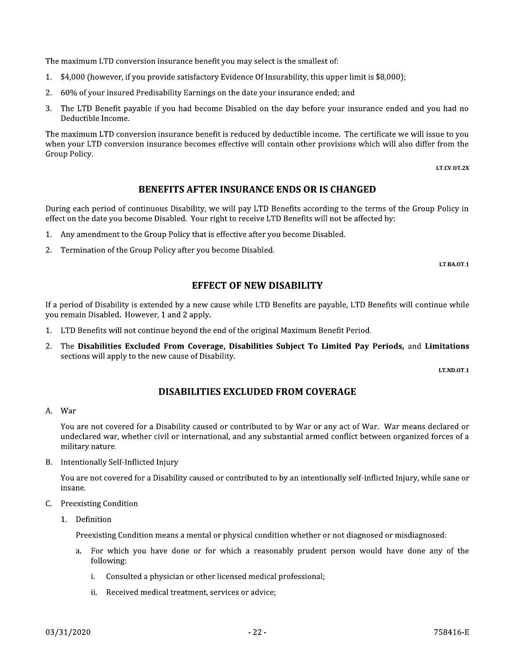The maximum LTD conversion insurance benefit you may select is the smallest of:

- \$4,000 (however, if you provide satisfactory Evidence Of Insurability, this upper limit is \$8,000);  $1.$
- 2. 60% of your insured Predisability Earnings on the date your insurance ended; and
- 3. The LTD Benefit payable if you had become Disabled on the day before your insurance ended and you had no Deductible Income.

The maximum LTD conversion insurance benefit is reduced by deductible income. The certificate we will issue to you when your LTD conversion insurance becomes effective will contain other provisions which will also differ from the Group Policy.

LT.CV.OT.2X

#### **BENEFITS AFTER INSURANCE ENDS OR IS CHANGED**

During each period of continuous Disability, we will pay LTD Benefits according to the terms of the Group Policy in effect on the date you become Disabled. Your right to receive LTD Benefits will not be affected by:

- Any amendment to the Group Policy that is effective after you become Disabled.  $1.$
- 2. Termination of the Group Policy after you become Disabled.

LT.BA.OT.1

#### **EFFECT OF NEW DISABILITY**

If a period of Disability is extended by a new cause while LTD Benefits are payable, LTD Benefits will continue while you remain Disabled. However, 1 and 2 apply.

- 1. LTD Benefits will not continue beyond the end of the original Maximum Benefit Period.
- 2. The Disabilities Excluded From Coverage, Disabilities Subject To Limited Pay Periods, and Limitations sections will apply to the new cause of Disability.

LT.ND.OT.1

### **DISABILITIES EXCLUDED FROM COVERAGE**

#### A. War

You are not covered for a Disability caused or contributed to by War or any act of War. War means declared or undeclared war, whether civil or international, and any substantial armed conflict between organized forces of a military nature.

B. Intentionally Self-Inflicted Injury

You are not covered for a Disability caused or contributed to by an intentionally self-inflicted Injury, while sane or insane.

- C. Preexisting Condition
	- 1. Definition

Preexisting Condition means a mental or physical condition whether or not diagnosed or misdiagnosed:

- For which you have done or for which a reasonably prudent person would have done any of the a. following:
	- Consulted a physician or other licensed medical professional: i.
	- ii. Received medical treatment, services or advice;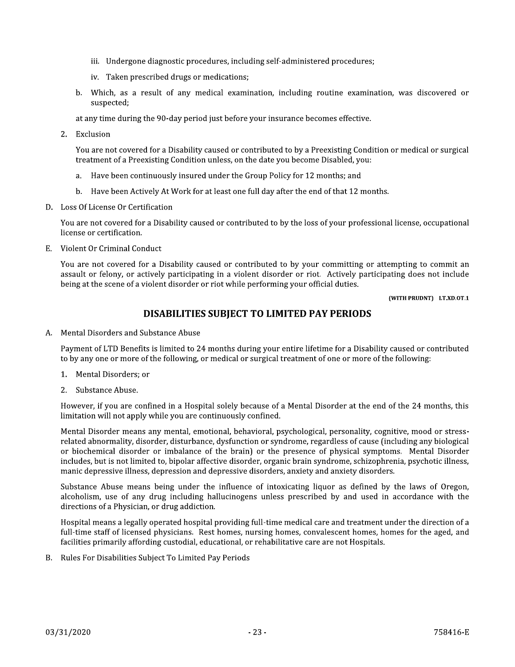- iii. Undergone diagnostic procedures, including self-administered procedures;
- iv. Taken prescribed drugs or medications;
- b. Which, as a result of any medical examination, including routine examination, was discovered or suspected;

at any time during the 90-day period just before your insurance becomes effective.

2. Exclusion

You are not covered for a Disability caused or contributed to by a Preexisting Condition or medical or surgical treatment of a Preexisting Condition unless, on the date you become Disabled, you:

- Have been continuously insured under the Group Policy for 12 months; and  $a<sub>1</sub>$
- b. Have been Actively At Work for at least one full day after the end of that 12 months.
- D. Loss Of License Or Certification

You are not covered for a Disability caused or contributed to by the loss of your professional license, occupational license or certification.

E. Violent Or Criminal Conduct

You are not covered for a Disability caused or contributed to by your committing or attempting to commit an assault or felony, or actively participating in a violent disorder or riot. Actively participating does not include being at the scene of a violent disorder or riot while performing your official duties.

(WITH PRUDNT) LT.XD.OT.1

# DISABILITIES SUBJECT TO LIMITED PAY PERIODS

A. Mental Disorders and Substance Abuse

Payment of LTD Benefits is limited to 24 months during your entire lifetime for a Disability caused or contributed to by any one or more of the following, or medical or surgical treatment of one or more of the following:

- 1. Mental Disorders: or
- 2. Substance Abuse.

However, if you are confined in a Hospital solely because of a Mental Disorder at the end of the 24 months, this limitation will not apply while you are continuously confined.

Mental Disorder means any mental, emotional, behavioral, psychological, personality, cognitive, mood or stressrelated abnormality, disorder, disturbance, dysfunction or syndrome, regardless of cause (including any biological or biochemical disorder or imbalance of the brain) or the presence of physical symptoms. Mental Disorder includes, but is not limited to, bipolar affective disorder, organic brain syndrome, schizophrenia, psychotic illness, manic depressive illness, depression and depressive disorders, anxiety and anxiety disorders.

Substance Abuse means being under the influence of intoxicating liquor as defined by the laws of Oregon, alcoholism, use of any drug including hallucinogens unless prescribed by and used in accordance with the directions of a Physician, or drug addiction.

Hospital means a legally operated hospital providing full-time medical care and treatment under the direction of a full-time staff of licensed physicians. Rest homes, nursing homes, convalescent homes, homes for the aged, and facilities primarily affording custodial, educational, or rehabilitative care are not Hospitals.

B. Rules For Disabilities Subject To Limited Pay Periods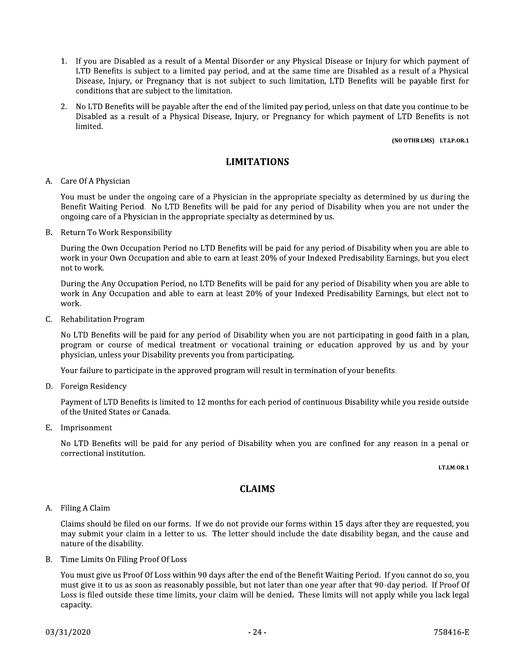- 1. If you are Disabled as a result of a Mental Disorder or any Physical Disease or Injury for which payment of LTD Benefits is subject to a limited pay period, and at the same time are Disabled as a result of a Physical Disease, Injury, or Pregnancy that is not subject to such limitation, LTD Benefits will be payable first for conditions that are subject to the limitation.
- 2. No LTD Benefits will be payable after the end of the limited pay period, unless on that date you continue to be Disabled as a result of a Physical Disease, Injury, or Pregnancy for which payment of LTD Benefits is not limited.

#### (NO OTHR LMS) LT.LP.OR.1

#### **LIMITATIONS**

#### A. Care Of A Physician

You must be under the ongoing care of a Physician in the appropriate specialty as determined by us during the Benefit Waiting Period. No LTD Benefits will be paid for any period of Disability when you are not under the ongoing care of a Physician in the appropriate specialty as determined by us.

B. Return To Work Responsibility

During the Own Occupation Period no LTD Benefits will be paid for any period of Disability when you are able to work in your Own Occupation and able to earn at least 20% of your Indexed Predisability Earnings, but you elect not to work.

During the Any Occupation Period, no LTD Benefits will be paid for any period of Disability when you are able to work in Any Occupation and able to earn at least 20% of your Indexed Predisability Earnings, but elect not to work.

C. Rehabilitation Program

No LTD Benefits will be paid for any period of Disability when you are not participating in good faith in a plan, program or course of medical treatment or vocational training or education approved by us and by your physician, unless your Disability prevents you from participating.

Your failure to participate in the approved program will result in termination of your benefits.

D. Foreign Residency

Payment of LTD Benefits is limited to 12 months for each period of continuous Disability while you reside outside of the United States or Canada.

E. Imprisonment

No LTD Benefits will be paid for any period of Disability when you are confined for any reason in a penal or correctional institution.

LT.LM.OR.1

### **CLAIMS**

#### A. Filing A Claim

Claims should be filed on our forms. If we do not provide our forms within 15 days after they are requested, you may submit your claim in a letter to us. The letter should include the date disability began, and the cause and nature of the disability.

B. Time Limits On Filing Proof Of Loss

You must give us Proof Of Loss within 90 days after the end of the Benefit Waiting Period. If you cannot do so, you must give it to us as soon as reasonably possible, but not later than one year after that 90-day period. If Proof Of Loss is filed outside these time limits, your claim will be denied. These limits will not apply while you lack legal capacity.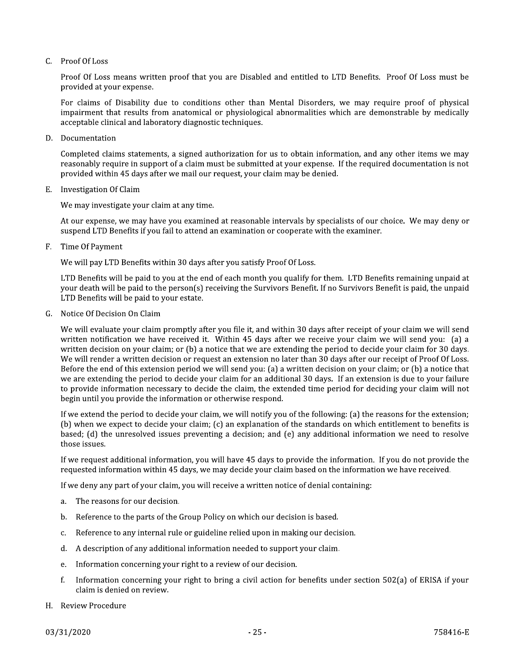#### $C.$  Proof Of Loss

Proof Of Loss means written proof that you are Disabled and entitled to LTD Benefits. Proof Of Loss must be provided at your expense.

For claims of Disability due to conditions other than Mental Disorders, we may require proof of physical impairment that results from anatomical or physiological abnormalities which are demonstrable by medically acceptable clinical and laboratory diagnostic techniques.

D. Documentation

Completed claims statements, a signed authorization for us to obtain information, and any other items we may reasonably require in support of a claim must be submitted at your expense. If the required documentation is not provided within 45 days after we mail our request, your claim may be denied.

E. Investigation Of Claim

We may investigate your claim at any time.

At our expense, we may have you examined at reasonable intervals by specialists of our choice. We may deny or suspend LTD Benefits if you fail to attend an examination or cooperate with the examiner.

Time Of Payment F.

We will pay LTD Benefits within 30 days after you satisfy Proof Of Loss.

LTD Benefits will be paid to you at the end of each month you qualify for them. LTD Benefits remaining unpaid at your death will be paid to the person(s) receiving the Survivors Benefit. If no Survivors Benefit is paid, the unpaid LTD Benefits will be paid to your estate.

G. Notice Of Decision On Claim

We will evaluate your claim promptly after you file it, and within 30 days after receipt of your claim we will send written notification we have received it. Within 45 days after we receive your claim we will send you: (a) a written decision on your claim; or (b) a notice that we are extending the period to decide your claim for 30 days. We will render a written decision or request an extension no later than 30 days after our receipt of Proof Of Loss. Before the end of this extension period we will send you: (a) a written decision on your claim; or (b) a notice that we are extending the period to decide your claim for an additional 30 days. If an extension is due to your failure to provide information necessary to decide the claim, the extended time period for deciding your claim will not begin until you provide the information or otherwise respond.

If we extend the period to decide your claim, we will notify you of the following: (a) the reasons for the extension; (b) when we expect to decide your claim; (c) an explanation of the standards on which entitlement to benefits is based; (d) the unresolved issues preventing a decision; and (e) any additional information we need to resolve those issues.

If we request additional information, you will have 45 days to provide the information. If you do not provide the requested information within 45 days, we may decide your claim based on the information we have received.

If we deny any part of your claim, you will receive a written notice of denial containing:

- The reasons for our decision.  $\mathbf{a}$
- Reference to the parts of the Group Policy on which our decision is based. h.
- Reference to any internal rule or guideline relied upon in making our decision. c.
- A description of any additional information needed to support your claim. d.
- Information concerning your right to a review of our decision. e.
- Information concerning your right to bring a civil action for benefits under section 502(a) of ERISA if your f. claim is denied on review.
- H. Review Procedure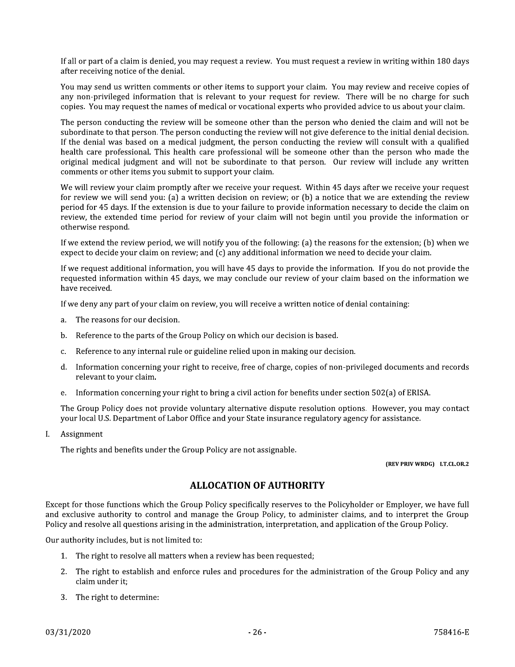If all or part of a claim is denied, you may request a review. You must request a review in writing within 180 days after receiving notice of the denial.

You may send us written comments or other items to support your claim. You may review and receive copies of any non-privileged information that is relevant to your request for review. There will be no charge for such copies. You may request the names of medical or vocational experts who provided advice to us about your claim.

The person conducting the review will be someone other than the person who denied the claim and will not be subordinate to that person. The person conducting the review will not give deference to the initial denial decision. If the denial was based on a medical judgment, the person conducting the review will consult with a qualified health care professional. This health care professional will be someone other than the person who made the original medical judgment and will not be subordinate to that person. Our review will include any written comments or other items you submit to support your claim.

We will review your claim promptly after we receive your request. Within 45 days after we receive your request for review we will send you: (a) a written decision on review; or (b) a notice that we are extending the review period for 45 days. If the extension is due to your failure to provide information necessary to decide the claim on review, the extended time period for review of your claim will not begin until you provide the information or otherwise respond.

If we extend the review period, we will notify you of the following: (a) the reasons for the extension; (b) when we expect to decide your claim on review; and (c) any additional information we need to decide your claim.

If we request additional information, you will have 45 days to provide the information. If you do not provide the requested information within 45 days, we may conclude our review of your claim based on the information we have received.

If we deny any part of your claim on review, you will receive a written notice of denial containing:

- The reasons for our decision. a.
- Reference to the parts of the Group Policy on which our decision is based.  $<sub>b</sub>$ .</sub>
- Reference to any internal rule or guideline relied upon in making our decision. c.
- d. Information concerning your right to receive, free of charge, copies of non-privileged documents and records relevant to your claim.
- e. Information concerning your right to bring a civil action for benefits under section  $502(a)$  of ERISA.

The Group Policy does not provide voluntary alternative dispute resolution options. However, you may contact your local U.S. Department of Labor Office and your State insurance regulatory agency for assistance.

Assignment L

The rights and benefits under the Group Policy are not assignable.

#### (REV PRIV WRDG) LT.CL.OR.2

### **ALLOCATION OF AUTHORITY**

Except for those functions which the Group Policy specifically reserves to the Policyholder or Employer, we have full and exclusive authority to control and manage the Group Policy, to administer claims, and to interpret the Group Policy and resolve all questions arising in the administration, interpretation, and application of the Group Policy.

Our authority includes, but is not limited to:

- 1. The right to resolve all matters when a review has been requested;
- 2. The right to establish and enforce rules and procedures for the administration of the Group Policy and any claim under it:
- 3. The right to determine: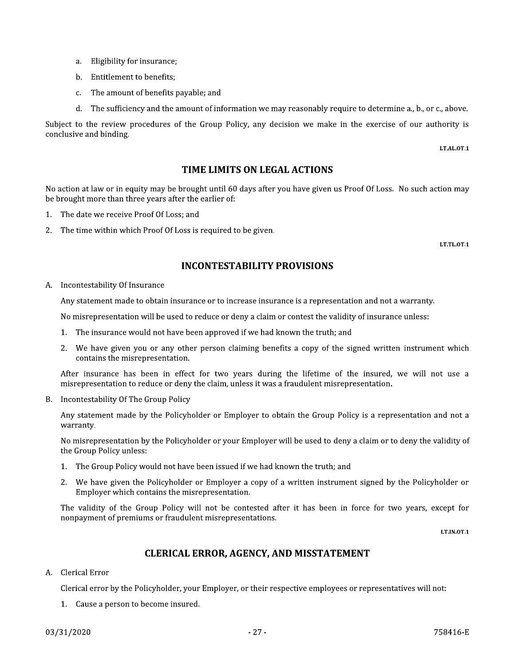- a. Eligibility for insurance;
- b. Entitlement to benefits:
- c. The amount of benefits payable; and
- d. The sufficiency and the amount of information we may reasonably require to determine a., b., or c., above.

Subject to the review procedures of the Group Policy, any decision we make in the exercise of our authority is conclusive and binding.

LT.AL.OT.1

#### TIME LIMITS ON LEGAL ACTIONS

No action at law or in equity may be brought until 60 days after you have given us Proof Of Loss. No such action may be brought more than three years after the earlier of:

- 1. The date we receive Proof Of Loss; and
- 2. The time within which Proof Of Loss is required to be given.

LT.TL.OT.1

### **INCONTESTABILITY PROVISIONS**

A. Incontestability Of Insurance

Any statement made to obtain insurance or to increase insurance is a representation and not a warranty.

No misrepresentation will be used to reduce or deny a claim or contest the validity of insurance unless:

- 1. The insurance would not have been approved if we had known the truth; and
- 2. We have given you or any other person claiming benefits a copy of the signed written instrument which contains the misrepresentation.

After insurance has been in effect for two years during the lifetime of the insured, we will not use a misrepresentation to reduce or deny the claim, unless it was a fraudulent misrepresentation.

B. Incontestability Of The Group Policy

Any statement made by the Policyholder or Employer to obtain the Group Policy is a representation and not a warranty.

No misrepresentation by the Policyholder or your Employer will be used to deny a claim or to deny the validity of the Group Policy unless:

- 1. The Group Policy would not have been issued if we had known the truth; and
- We have given the Policyholder or Employer a copy of a written instrument signed by the Policyholder or 2. Employer which contains the misrepresentation.

The validity of the Group Policy will not be contested after it has been in force for two years, except for nonpayment of premiums or fraudulent misrepresentations.

LT.IN.OT.1

### **CLERICAL ERROR, AGENCY, AND MISSTATEMENT**

A. Clerical Error

Clerical error by the Policyholder, your Employer, or their respective employees or representatives will not:

1. Cause a person to become insured.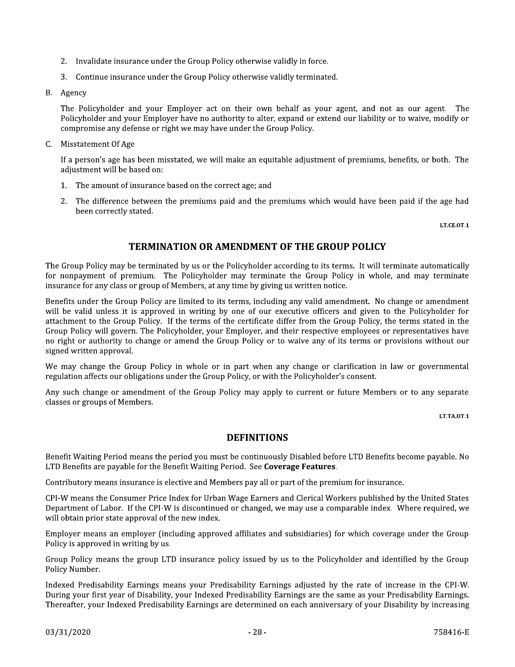- 2. Invalidate insurance under the Group Policy otherwise validly in force.
- 3. Continue insurance under the Group Policy otherwise validly terminated.
- B. Agency

The Policyholder and your Employer act on their own behalf as your agent, and not as our agent. The Policyholder and your Employer have no authority to alter, expand or extend our liability or to waive, modify or compromise any defense or right we may have under the Group Policy.

C. Misstatement Of Age

If a person's age has been misstated, we will make an equitable adjustment of premiums, benefits, or both. The adjustment will be based on:

- 1. The amount of insurance based on the correct age; and
- 2. The difference between the premiums paid and the premiums which would have been paid if the age had been correctly stated.

LT.CE.OT.1

### **TERMINATION OR AMENDMENT OF THE GROUP POLICY**

The Group Policy may be terminated by us or the Policyholder according to its terms. It will terminate automatically for nonpayment of premium. The Policyholder may terminate the Group Policy in whole, and may terminate insurance for any class or group of Members, at any time by giving us written notice.

Benefits under the Group Policy are limited to its terms, including any valid amendment. No change or amendment will be valid unless it is approved in writing by one of our executive officers and given to the Policyholder for attachment to the Group Policy. If the terms of the certificate differ from the Group Policy, the terms stated in the Group Policy will govern. The Policyholder, your Employer, and their respective employees or representatives have no right or authority to change or amend the Group Policy or to waive any of its terms or provisions without our signed written approval.

We may change the Group Policy in whole or in part when any change or clarification in law or governmental regulation affects our obligations under the Group Policy, or with the Policyholder's consent.

Any such change or amendment of the Group Policy may apply to current or future Members or to any separate classes or groups of Members.

LT.TA.OT.1

### **DEFINITIONS**

Benefit Waiting Period means the period you must be continuously Disabled before LTD Benefits become payable. No LTD Benefits are payable for the Benefit Waiting Period. See Coverage Features.

Contributory means insurance is elective and Members pay all or part of the premium for insurance.

CPI-W means the Consumer Price Index for Urban Wage Earners and Clerical Workers published by the United States Department of Labor. If the CPI-W is discontinued or changed, we may use a comparable index. Where required, we will obtain prior state approval of the new index.

Employer means an employer (including approved affiliates and subsidiaries) for which coverage under the Group Policy is approved in writing by us.

Group Policy means the group LTD insurance policy issued by us to the Policyholder and identified by the Group Policy Number.

Indexed Predisability Earnings means your Predisability Earnings adjusted by the rate of increase in the CPI-W. During your first year of Disability, your Indexed Predisability Earnings are the same as your Predisability Earnings. Thereafter, your Indexed Predisability Earnings are determined on each anniversary of your Disability by increasing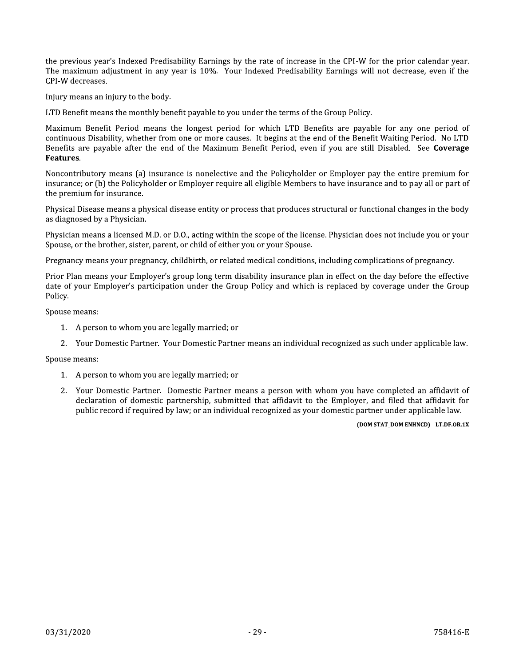the previous year's Indexed Predisability Earnings by the rate of increase in the CPI-W for the prior calendar year. The maximum adjustment in any year is 10%. Your Indexed Predisability Earnings will not decrease, even if the CPI-W decreases.

Injury means an injury to the body.

LTD Benefit means the monthly benefit payable to you under the terms of the Group Policy.

Maximum Benefit Period means the longest period for which LTD Benefits are payable for any one period of continuous Disability, whether from one or more causes. It begins at the end of the Benefit Waiting Period. No LTD Benefits are payable after the end of the Maximum Benefit Period, even if you are still Disabled. See Coverage Features.

Noncontributory means (a) insurance is nonelective and the Policyholder or Employer pay the entire premium for insurance; or (b) the Policyholder or Employer require all eligible Members to have insurance and to pay all or part of the premium for insurance.

Physical Disease means a physical disease entity or process that produces structural or functional changes in the body as diagnosed by a Physician.

Physician means a licensed M.D. or D.O., acting within the scope of the license. Physician does not include you or your Spouse, or the brother, sister, parent, or child of either you or your Spouse.

Pregnancy means your pregnancy, childbirth, or related medical conditions, including complications of pregnancy.

Prior Plan means your Employer's group long term disability insurance plan in effect on the day before the effective date of your Employer's participation under the Group Policy and which is replaced by coverage under the Group Policy.

Spouse means:

- 1. A person to whom you are legally married; or
- 2. Your Domestic Partner. Your Domestic Partner means an individual recognized as such under applicable law.

Spouse means:

- 1. A person to whom you are legally married; or
- 2. Your Domestic Partner. Domestic Partner means a person with whom you have completed an affidavit of declaration of domestic partnership, submitted that affidavit to the Employer, and filed that affidavit for public record if required by law; or an individual recognized as your domestic partner under applicable law.

#### (DOM STAT\_DOM ENHNCD) LT.DF.OR.1X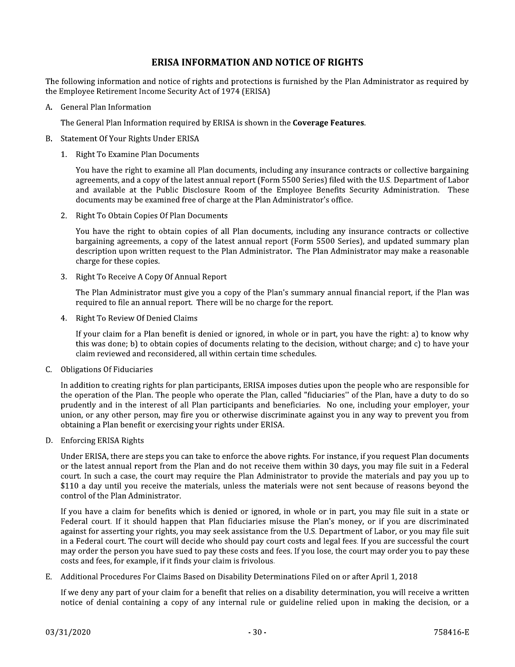### **ERISA INFORMATION AND NOTICE OF RIGHTS**

The following information and notice of rights and protections is furnished by the Plan Administrator as required by the Employee Retirement Income Security Act of 1974 (ERISA)

A. General Plan Information

The General Plan Information required by ERISA is shown in the Coverage Features.

- B. Statement Of Your Rights Under ERISA
	- 1. Right To Examine Plan Documents

You have the right to examine all Plan documents, including any insurance contracts or collective bargaining agreements, and a copy of the latest annual report (Form 5500 Series) filed with the U.S. Department of Labor and available at the Public Disclosure Room of the Employee Benefits Security Administration. These documents may be examined free of charge at the Plan Administrator's office.

2. Right To Obtain Copies Of Plan Documents

You have the right to obtain copies of all Plan documents, including any insurance contracts or collective bargaining agreements, a copy of the latest annual report (Form 5500 Series), and updated summary plan description upon written request to the Plan Administrator. The Plan Administrator may make a reasonable charge for these copies.

3. Right To Receive A Copy Of Annual Report

The Plan Administrator must give you a copy of the Plan's summary annual financial report, if the Plan was required to file an annual report. There will be no charge for the report.

4. Right To Review Of Denied Claims

If your claim for a Plan benefit is denied or ignored, in whole or in part, you have the right: a) to know why this was done; b) to obtain copies of documents relating to the decision, without charge; and c) to have your claim reviewed and reconsidered, all within certain time schedules.

C. Obligations Of Fiduciaries

In addition to creating rights for plan participants, ERISA imposes duties upon the people who are responsible for the operation of the Plan. The people who operate the Plan, called "fiduciaries" of the Plan, have a duty to do so prudently and in the interest of all Plan participants and beneficiaries. No one, including your employer, your union, or any other person, may fire you or otherwise discriminate against you in any way to prevent you from obtaining a Plan benefit or exercising your rights under ERISA.

D. Enforcing ERISA Rights

Under ERISA, there are steps you can take to enforce the above rights. For instance, if you request Plan documents or the latest annual report from the Plan and do not receive them within 30 days, you may file suit in a Federal court. In such a case, the court may require the Plan Administrator to provide the materials and pay you up to \$110 a day until you receive the materials, unless the materials were not sent because of reasons beyond the control of the Plan Administrator.

If vou have a claim for benefits which is denied or ignored, in whole or in part, you may file suit in a state or Federal court. If it should happen that Plan fiduciaries misuse the Plan's money, or if you are discriminated against for asserting your rights, you may seek assistance from the U.S. Department of Labor, or you may file suit in a Federal court. The court will decide who should pay court costs and legal fees. If you are successful the court may order the person you have sued to pay these costs and fees. If you lose, the court may order you to pay these costs and fees, for example, if it finds your claim is frivolous.

Additional Procedures For Claims Based on Disability Determinations Filed on or after April 1, 2018 E.,

If we deny any part of your claim for a benefit that relies on a disability determination, you will receive a written notice of denial containing a copy of any internal rule or guideline relied upon in making the decision, or a